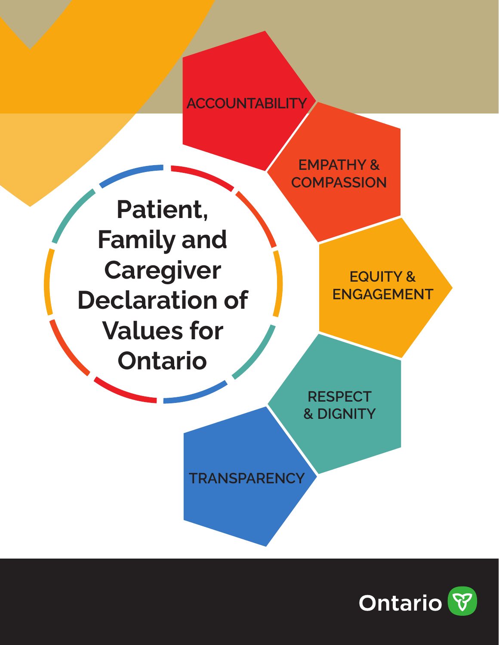## **ACCOUNTABILITY**

**EMPATHY & COMPASSION** 

**Patient, Family and Caregiver Declaration of Values for Ontario** 

**EQUITY & ENGAGEMENT** 

**RESPECT & DIGNITY** 

**TRANSPARENCY**